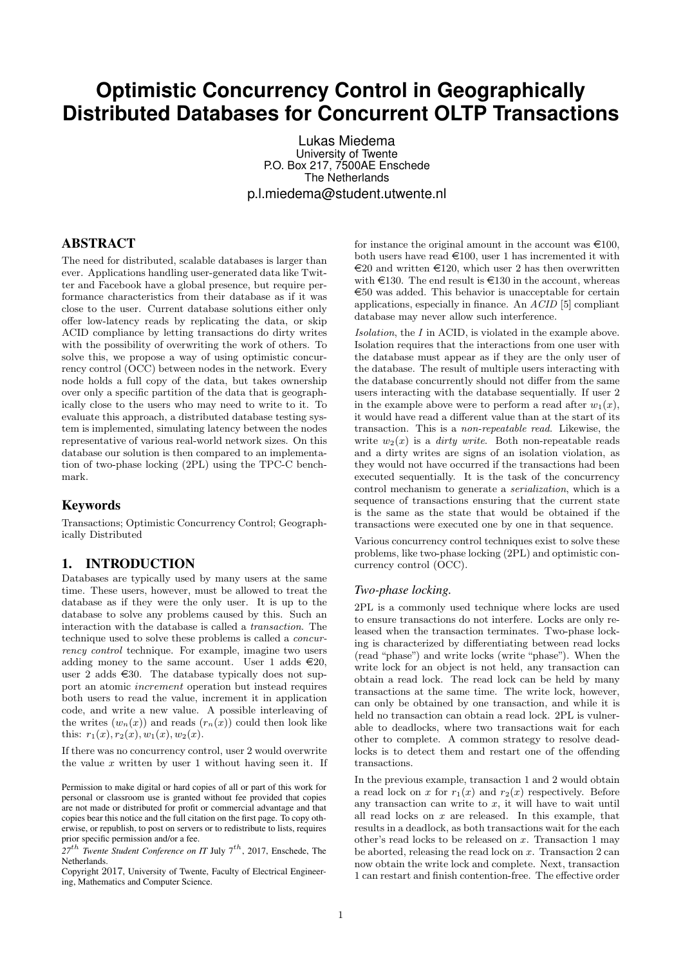# **Optimistic Concurrency Control in Geographically Distributed Databases for Concurrent OLTP Transactions**

Lukas Miedema University of Twente P.O. Box 217, 7500AE Enschede The Netherlands p.l.miedema@student.utwente.nl

# ABSTRACT

The need for distributed, scalable databases is larger than ever. Applications handling user-generated data like Twitter and Facebook have a global presence, but require performance characteristics from their database as if it was close to the user. Current database solutions either only offer low-latency reads by replicating the data, or skip ACID compliance by letting transactions do dirty writes with the possibility of overwriting the work of others. To solve this, we propose a way of using optimistic concurrency control (OCC) between nodes in the network. Every node holds a full copy of the data, but takes ownership over only a specific partition of the data that is geographically close to the users who may need to write to it. To evaluate this approach, a distributed database testing system is implemented, simulating latency between the nodes representative of various real-world network sizes. On this database our solution is then compared to an implementation of two-phase locking (2PL) using the TPC-C benchmark.

### Keywords

Transactions; Optimistic Concurrency Control; Geographically Distributed

### 1. INTRODUCTION

Databases are typically used by many users at the same time. These users, however, must be allowed to treat the database as if they were the only user. It is up to the database to solve any problems caused by this. Such an interaction with the database is called a transaction. The technique used to solve these problems is called a concurrency control technique. For example, imagine two users adding money to the same account. User 1 adds  $\in 20$ , user 2 adds  $\in$  30. The database typically does not support an atomic increment operation but instead requires both users to read the value, increment it in application code, and write a new value. A possible interleaving of the writes  $(w_n(x))$  and reads  $(r_n(x))$  could then look like this:  $r_1(x), r_2(x), w_1(x), w_2(x)$ .

If there was no concurrency control, user 2 would overwrite the value  $x$  written by user 1 without having seen it. If

Copyright 2017, University of Twente, Faculty of Electrical Engineering, Mathematics and Computer Science.

for instance the original amount in the account was  $\epsilon 100$ , both users have read  $\in$ 100, user 1 has incremented it with  $\epsilon$ 20 and written  $\epsilon$ 120, which user 2 has then overwritten with  $\text{\textsterling}130$ . The end result is  $\text{\textsterling}130$  in the account, whereas  $\epsilon$ 50 was added. This behavior is unacceptable for certain applications, especially in finance. An ACID [5] compliant database may never allow such interference.

Isolation, the I in ACID, is violated in the example above. Isolation requires that the interactions from one user with the database must appear as if they are the only user of the database. The result of multiple users interacting with the database concurrently should not differ from the same users interacting with the database sequentially. If user 2 in the example above were to perform a read after  $w_1(x)$ , it would have read a different value than at the start of its transaction. This is a non-repeatable read. Likewise, the write  $w_2(x)$  is a *dirty write*. Both non-repeatable reads and a dirty writes are signs of an isolation violation, as they would not have occurred if the transactions had been executed sequentially. It is the task of the concurrency control mechanism to generate a serialization, which is a sequence of transactions ensuring that the current state is the same as the state that would be obtained if the transactions were executed one by one in that sequence.

Various concurrency control techniques exist to solve these problems, like two-phase locking (2PL) and optimistic concurrency control (OCC).

#### *Two-phase locking.*

2PL is a commonly used technique where locks are used to ensure transactions do not interfere. Locks are only released when the transaction terminates. Two-phase locking is characterized by differentiating between read locks (read "phase") and write locks (write "phase"). When the write lock for an object is not held, any transaction can obtain a read lock. The read lock can be held by many transactions at the same time. The write lock, however, can only be obtained by one transaction, and while it is held no transaction can obtain a read lock. 2PL is vulnerable to deadlocks, where two transactions wait for each other to complete. A common strategy to resolve deadlocks is to detect them and restart one of the offending transactions.

In the previous example, transaction 1 and 2 would obtain a read lock on x for  $r_1(x)$  and  $r_2(x)$  respectively. Before any transaction can write to  $x$ , it will have to wait until all read locks on  $x$  are released. In this example, that results in a deadlock, as both transactions wait for the each other's read locks to be released on  $x$ . Transaction 1 may be aborted, releasing the read lock on  $x$ . Transaction  $2 \text{ can}$ now obtain the write lock and complete. Next, transaction 1 can restart and finish contention-free. The effective order

Permission to make digital or hard copies of all or part of this work for personal or classroom use is granted without fee provided that copies are not made or distributed for profit or commercial advantage and that copies bear this notice and the full citation on the first page. To copy otherwise, or republish, to post on servers or to redistribute to lists, requires prior specific permission and/or a fee.

 $27<sup>th</sup>$  *Twente Student Conference on IT July*  $7<sup>th</sup>$ , 2017, Enschede, The Netherlands.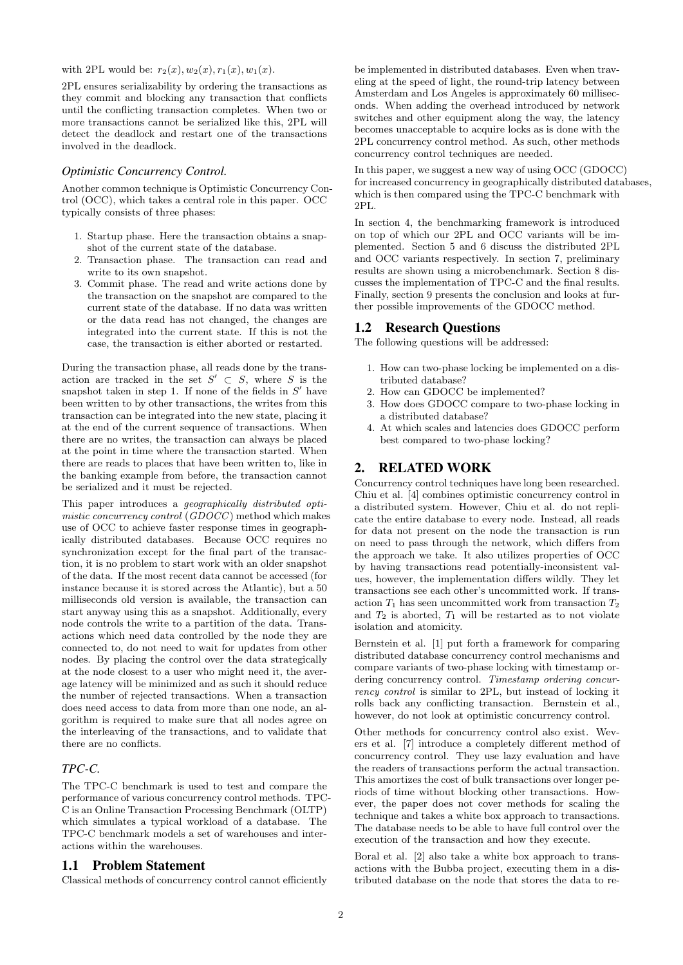with 2PL would be:  $r_2(x), w_2(x), r_1(x), w_1(x)$ .

2PL ensures serializability by ordering the transactions as they commit and blocking any transaction that conflicts until the conflicting transaction completes. When two or more transactions cannot be serialized like this, 2PL will detect the deadlock and restart one of the transactions involved in the deadlock.

### *Optimistic Concurrency Control.*

Another common technique is Optimistic Concurrency Control (OCC), which takes a central role in this paper. OCC typically consists of three phases:

- 1. Startup phase. Here the transaction obtains a snapshot of the current state of the database.
- 2. Transaction phase. The transaction can read and write to its own snapshot.
- 3. Commit phase. The read and write actions done by the transaction on the snapshot are compared to the current state of the database. If no data was written or the data read has not changed, the changes are integrated into the current state. If this is not the case, the transaction is either aborted or restarted.

During the transaction phase, all reads done by the transaction are tracked in the set  $S' \subset S$ , where S is the snapshot taken in step 1. If none of the fields in  $S'$  have been written to by other transactions, the writes from this transaction can be integrated into the new state, placing it at the end of the current sequence of transactions. When there are no writes, the transaction can always be placed at the point in time where the transaction started. When there are reads to places that have been written to, like in the banking example from before, the transaction cannot be serialized and it must be rejected.

This paper introduces a geographically distributed optimistic concurrency control (GDOCC) method which makes use of OCC to achieve faster response times in geographically distributed databases. Because OCC requires no synchronization except for the final part of the transaction, it is no problem to start work with an older snapshot of the data. If the most recent data cannot be accessed (for instance because it is stored across the Atlantic), but a 50 milliseconds old version is available, the transaction can start anyway using this as a snapshot. Additionally, every node controls the write to a partition of the data. Transactions which need data controlled by the node they are connected to, do not need to wait for updates from other nodes. By placing the control over the data strategically at the node closest to a user who might need it, the average latency will be minimized and as such it should reduce the number of rejected transactions. When a transaction does need access to data from more than one node, an algorithm is required to make sure that all nodes agree on the interleaving of the transactions, and to validate that there are no conflicts.

### *TPC-C.*

The TPC-C benchmark is used to test and compare the performance of various concurrency control methods. TPC-C is an Online Transaction Processing Benchmark (OLTP) which simulates a typical workload of a database. The TPC-C benchmark models a set of warehouses and interactions within the warehouses.

### 1.1 Problem Statement

Classical methods of concurrency control cannot efficiently

be implemented in distributed databases. Even when traveling at the speed of light, the round-trip latency between Amsterdam and Los Angeles is approximately 60 milliseconds. When adding the overhead introduced by network switches and other equipment along the way, the latency becomes unacceptable to acquire locks as is done with the 2PL concurrency control method. As such, other methods concurrency control techniques are needed.

In this paper, we suggest a new way of using OCC (GDOCC) for increased concurrency in geographically distributed databases, which is then compared using the TPC-C benchmark with 2PL.

In section 4, the benchmarking framework is introduced on top of which our 2PL and OCC variants will be implemented. Section 5 and 6 discuss the distributed 2PL and OCC variants respectively. In section 7, preliminary results are shown using a microbenchmark. Section 8 discusses the implementation of TPC-C and the final results. Finally, section 9 presents the conclusion and looks at further possible improvements of the GDOCC method.

### 1.2 Research Questions

The following questions will be addressed:

- 1. How can two-phase locking be implemented on a distributed database?
- 2. How can GDOCC be implemented?
- 3. How does GDOCC compare to two-phase locking in a distributed database?
- 4. At which scales and latencies does GDOCC perform best compared to two-phase locking?

### 2. RELATED WORK

Concurrency control techniques have long been researched. Chiu et al. [4] combines optimistic concurrency control in a distributed system. However, Chiu et al. do not replicate the entire database to every node. Instead, all reads for data not present on the node the transaction is run on need to pass through the network, which differs from the approach we take. It also utilizes properties of OCC by having transactions read potentially-inconsistent values, however, the implementation differs wildly. They let transactions see each other's uncommitted work. If transaction  $T_1$  has seen uncommitted work from transaction  $T_2$ and  $T_2$  is aborted,  $T_1$  will be restarted as to not violate isolation and atomicity.

Bernstein et al. [1] put forth a framework for comparing distributed database concurrency control mechanisms and compare variants of two-phase locking with timestamp ordering concurrency control. Timestamp ordering concurrency control is similar to 2PL, but instead of locking it rolls back any conflicting transaction. Bernstein et al., however, do not look at optimistic concurrency control.

Other methods for concurrency control also exist. Wevers et al. [7] introduce a completely different method of concurrency control. They use lazy evaluation and have the readers of transactions perform the actual transaction. This amortizes the cost of bulk transactions over longer periods of time without blocking other transactions. However, the paper does not cover methods for scaling the technique and takes a white box approach to transactions. The database needs to be able to have full control over the execution of the transaction and how they execute.

Boral et al. [2] also take a white box approach to transactions with the Bubba project, executing them in a distributed database on the node that stores the data to re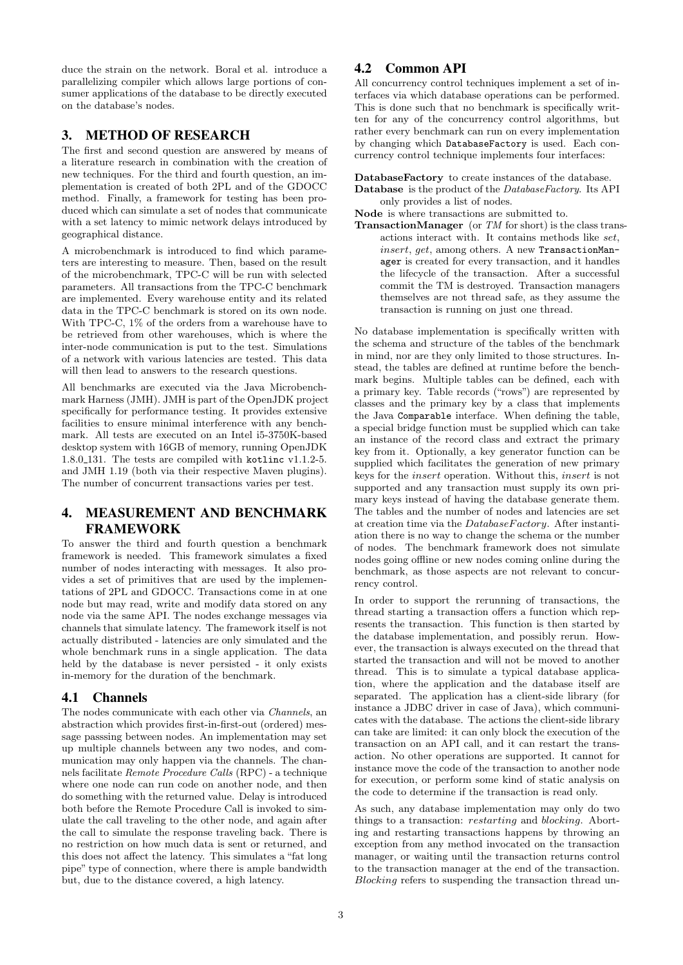duce the strain on the network. Boral et al. introduce a parallelizing compiler which allows large portions of consumer applications of the database to be directly executed on the database's nodes.

### 3. METHOD OF RESEARCH

The first and second question are answered by means of a literature research in combination with the creation of new techniques. For the third and fourth question, an implementation is created of both 2PL and of the GDOCC method. Finally, a framework for testing has been produced which can simulate a set of nodes that communicate with a set latency to mimic network delays introduced by geographical distance.

A microbenchmark is introduced to find which parameters are interesting to measure. Then, based on the result of the microbenchmark, TPC-C will be run with selected parameters. All transactions from the TPC-C benchmark are implemented. Every warehouse entity and its related data in the TPC-C benchmark is stored on its own node. With TPC-C, 1% of the orders from a warehouse have to be retrieved from other warehouses, which is where the inter-node communication is put to the test. Simulations of a network with various latencies are tested. This data will then lead to answers to the research questions.

All benchmarks are executed via the Java Microbenchmark Harness (JMH). JMH is part of the OpenJDK project specifically for performance testing. It provides extensive facilities to ensure minimal interference with any benchmark. All tests are executed on an Intel i5-3750K-based desktop system with 16GB of memory, running OpenJDK 1.8.0 131. The tests are compiled with kotlinc v1.1.2-5. and JMH 1.19 (both via their respective Maven plugins). The number of concurrent transactions varies per test.

# 4. MEASUREMENT AND BENCHMARK FRAMEWORK

To answer the third and fourth question a benchmark framework is needed. This framework simulates a fixed number of nodes interacting with messages. It also provides a set of primitives that are used by the implementations of 2PL and GDOCC. Transactions come in at one node but may read, write and modify data stored on any node via the same API. The nodes exchange messages via channels that simulate latency. The framework itself is not actually distributed - latencies are only simulated and the whole benchmark runs in a single application. The data held by the database is never persisted - it only exists in-memory for the duration of the benchmark.

### 4.1 Channels

The nodes communicate with each other via Channels, an abstraction which provides first-in-first-out (ordered) message passsing between nodes. An implementation may set up multiple channels between any two nodes, and communication may only happen via the channels. The channels facilitate Remote Procedure Calls (RPC) - a technique where one node can run code on another node, and then do something with the returned value. Delay is introduced both before the Remote Procedure Call is invoked to simulate the call traveling to the other node, and again after the call to simulate the response traveling back. There is no restriction on how much data is sent or returned, and this does not affect the latency. This simulates a "fat long pipe" type of connection, where there is ample bandwidth but, due to the distance covered, a high latency.

# 4.2 Common API

All concurrency control techniques implement a set of interfaces via which database operations can be performed. This is done such that no benchmark is specifically written for any of the concurrency control algorithms, but rather every benchmark can run on every implementation by changing which DatabaseFactory is used. Each concurrency control technique implements four interfaces:

DatabaseFactory to create instances of the database. Database is the product of the DatabaseFactory. Its API only provides a list of nodes.

Node is where transactions are submitted to.

**TransactionManager** (or  $TM$  for short) is the class transactions interact with. It contains methods like set, insert, get, among others. A new TransactionManager is created for every transaction, and it handles the lifecycle of the transaction. After a successful commit the TM is destroyed. Transaction managers themselves are not thread safe, as they assume the transaction is running on just one thread.

No database implementation is specifically written with the schema and structure of the tables of the benchmark in mind, nor are they only limited to those structures. Instead, the tables are defined at runtime before the benchmark begins. Multiple tables can be defined, each with a primary key. Table records ("rows") are represented by classes and the primary key by a class that implements the Java Comparable interface. When defining the table, a special bridge function must be supplied which can take an instance of the record class and extract the primary key from it. Optionally, a key generator function can be supplied which facilitates the generation of new primary keys for the insert operation. Without this, insert is not supported and any transaction must supply its own primary keys instead of having the database generate them. The tables and the number of nodes and latencies are set at creation time via the  $DatabaseFactory$ . After instantiation there is no way to change the schema or the number of nodes. The benchmark framework does not simulate nodes going offline or new nodes coming online during the benchmark, as those aspects are not relevant to concurrency control.

In order to support the rerunning of transactions, the thread starting a transaction offers a function which represents the transaction. This function is then started by the database implementation, and possibly rerun. However, the transaction is always executed on the thread that started the transaction and will not be moved to another thread. This is to simulate a typical database application, where the application and the database itself are separated. The application has a client-side library (for instance a JDBC driver in case of Java), which communicates with the database. The actions the client-side library can take are limited: it can only block the execution of the transaction on an API call, and it can restart the transaction. No other operations are supported. It cannot for instance move the code of the transaction to another node for execution, or perform some kind of static analysis on the code to determine if the transaction is read only.

As such, any database implementation may only do two things to a transaction: restarting and blocking. Aborting and restarting transactions happens by throwing an exception from any method invocated on the transaction manager, or waiting until the transaction returns control to the transaction manager at the end of the transaction. Blocking refers to suspending the transaction thread un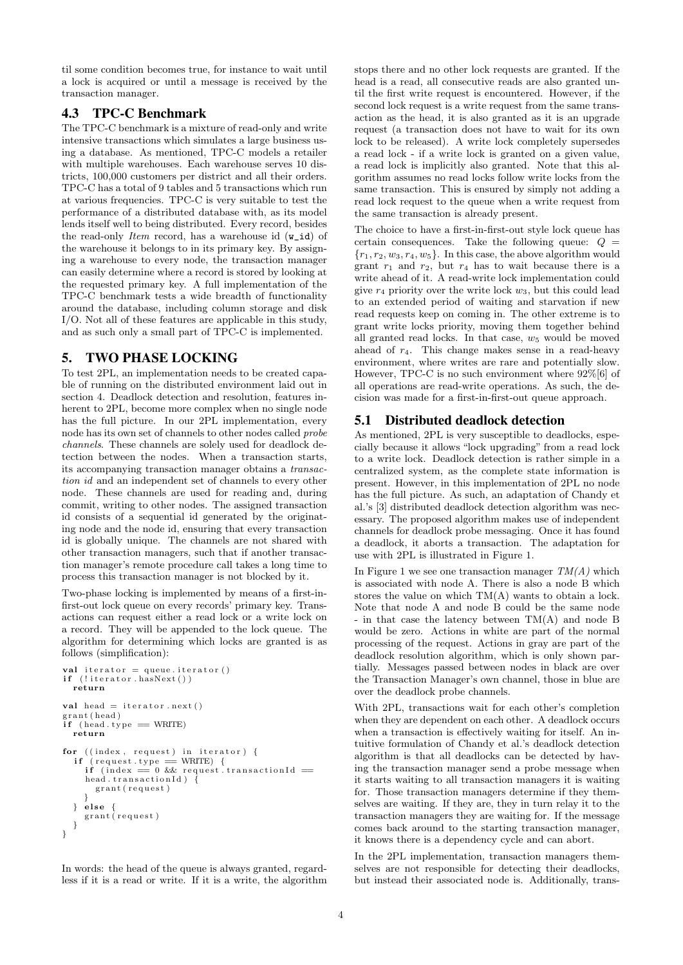til some condition becomes true, for instance to wait until a lock is acquired or until a message is received by the transaction manager.

# 4.3 TPC-C Benchmark

The TPC-C benchmark is a mixture of read-only and write intensive transactions which simulates a large business using a database. As mentioned, TPC-C models a retailer with multiple warehouses. Each warehouse serves 10 districts, 100,000 customers per district and all their orders. TPC-C has a total of 9 tables and 5 transactions which run at various frequencies. TPC-C is very suitable to test the performance of a distributed database with, as its model lends itself well to being distributed. Every record, besides the read-only *Item* record, has a warehouse id  $(\mathbf{w\_id})$  of the warehouse it belongs to in its primary key. By assigning a warehouse to every node, the transaction manager can easily determine where a record is stored by looking at the requested primary key. A full implementation of the TPC-C benchmark tests a wide breadth of functionality around the database, including column storage and disk I/O. Not all of these features are applicable in this study, and as such only a small part of TPC-C is implemented.

# 5. TWO PHASE LOCKING

To test 2PL, an implementation needs to be created capable of running on the distributed environment laid out in section 4. Deadlock detection and resolution, features inherent to 2PL, become more complex when no single node has the full picture. In our 2PL implementation, every node has its own set of channels to other nodes called probe channels. These channels are solely used for deadlock detection between the nodes. When a transaction starts, its accompanying transaction manager obtains a transaction id and an independent set of channels to every other node. These channels are used for reading and, during commit, writing to other nodes. The assigned transaction id consists of a sequential id generated by the originating node and the node id, ensuring that every transaction id is globally unique. The channels are not shared with other transaction managers, such that if another transaction manager's remote procedure call takes a long time to process this transaction manager is not blocked by it.

Two-phase locking is implemented by means of a first-infirst-out lock queue on every records' primary key. Transactions can request either a read lock or a write lock on a record. They will be appended to the lock queue. The algorithm for determining which locks are granted is as follows (simplification):

```
val iterator = queue . iterator ()
if (! iterator . hasNext())
   return
val head = iterator.next()
 r ant (head)
\int_{i}^{r} (head type == WRITE)
  return
for ((index, request) in iterator) {<br>if (request, type = WRITE) {
   if (request.type == WRITE) {<br>if (index == 0 && request.transactionId ==
      head. transactionId) \overline{\{}grant (request)
   }<br>} else {
     grant (request)
  }
}
```
In words: the head of the queue is always granted, regardless if it is a read or write. If it is a write, the algorithm

stops there and no other lock requests are granted. If the head is a read, all consecutive reads are also granted until the first write request is encountered. However, if the second lock request is a write request from the same transaction as the head, it is also granted as it is an upgrade request (a transaction does not have to wait for its own lock to be released). A write lock completely supersedes a read lock - if a write lock is granted on a given value, a read lock is implicitly also granted. Note that this algorithm assumes no read locks follow write locks from the same transaction. This is ensured by simply not adding a read lock request to the queue when a write request from the same transaction is already present.

The choice to have a first-in-first-out style lock queue has certain consequences. Take the following queue:  $Q =$  ${r_1, r_2, w_3, r_4, w_5}$ . In this case, the above algorithm would grant  $r_1$  and  $r_2$ , but  $r_4$  has to wait because there is a write ahead of it. A read-write lock implementation could give  $r_4$  priority over the write lock  $w_3$ , but this could lead to an extended period of waiting and starvation if new read requests keep on coming in. The other extreme is to grant write locks priority, moving them together behind all granted read locks. In that case,  $w_5$  would be moved ahead of  $r_4$ . This change makes sense in a read-heavy environment, where writes are rare and potentially slow. However, TPC-C is no such environment where 92%[6] of all operations are read-write operations. As such, the decision was made for a first-in-first-out queue approach.

# 5.1 Distributed deadlock detection

As mentioned, 2PL is very susceptible to deadlocks, especially because it allows "lock upgrading" from a read lock to a write lock. Deadlock detection is rather simple in a centralized system, as the complete state information is present. However, in this implementation of 2PL no node has the full picture. As such, an adaptation of Chandy et al.'s [3] distributed deadlock detection algorithm was necessary. The proposed algorithm makes use of independent channels for deadlock probe messaging. Once it has found a deadlock, it aborts a transaction. The adaptation for use with 2PL is illustrated in Figure 1.

In Figure 1 we see one transaction manager  $TM(A)$  which is associated with node A. There is also a node B which stores the value on which TM(A) wants to obtain a lock. Note that node A and node B could be the same node - in that case the latency between TM(A) and node B would be zero. Actions in white are part of the normal processing of the request. Actions in gray are part of the deadlock resolution algorithm, which is only shown partially. Messages passed between nodes in black are over the Transaction Manager's own channel, those in blue are over the deadlock probe channels.

With 2PL, transactions wait for each other's completion when they are dependent on each other. A deadlock occurs when a transaction is effectively waiting for itself. An intuitive formulation of Chandy et al.'s deadlock detection algorithm is that all deadlocks can be detected by having the transaction manager send a probe message when it starts waiting to all transaction managers it is waiting for. Those transaction managers determine if they themselves are waiting. If they are, they in turn relay it to the transaction managers they are waiting for. If the message comes back around to the starting transaction manager, it knows there is a dependency cycle and can abort.

In the 2PL implementation, transaction managers themselves are not responsible for detecting their deadlocks, but instead their associated node is. Additionally, trans-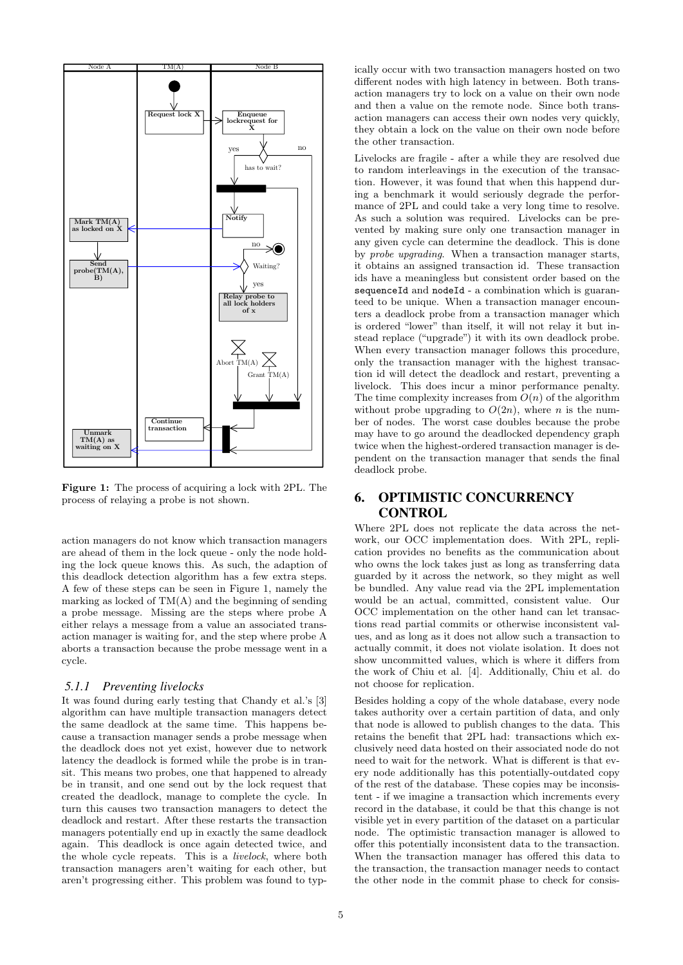

Figure 1: The process of acquiring a lock with 2PL. The process of relaying a probe is not shown.

action managers do not know which transaction managers are ahead of them in the lock queue - only the node holding the lock queue knows this. As such, the adaption of this deadlock detection algorithm has a few extra steps. A few of these steps can be seen in Figure 1, namely the marking as locked of TM(A) and the beginning of sending a probe message. Missing are the steps where probe A either relays a message from a value an associated transaction manager is waiting for, and the step where probe A aborts a transaction because the probe message went in a cycle.

#### *5.1.1 Preventing livelocks*

It was found during early testing that Chandy et al.'s [3] algorithm can have multiple transaction managers detect the same deadlock at the same time. This happens because a transaction manager sends a probe message when the deadlock does not yet exist, however due to network latency the deadlock is formed while the probe is in transit. This means two probes, one that happened to already be in transit, and one send out by the lock request that created the deadlock, manage to complete the cycle. In turn this causes two transaction managers to detect the deadlock and restart. After these restarts the transaction managers potentially end up in exactly the same deadlock again. This deadlock is once again detected twice, and the whole cycle repeats. This is a livelock, where both transaction managers aren't waiting for each other, but aren't progressing either. This problem was found to typ-

ically occur with two transaction managers hosted on two different nodes with high latency in between. Both transaction managers try to lock on a value on their own node and then a value on the remote node. Since both transaction managers can access their own nodes very quickly, they obtain a lock on the value on their own node before the other transaction.

Livelocks are fragile - after a while they are resolved due to random interleavings in the execution of the transaction. However, it was found that when this happend during a benchmark it would seriously degrade the performance of 2PL and could take a very long time to resolve. As such a solution was required. Livelocks can be prevented by making sure only one transaction manager in any given cycle can determine the deadlock. This is done by probe upgrading. When a transaction manager starts, it obtains an assigned transaction id. These transaction ids have a meaningless but consistent order based on the sequenceId and nodeId - a combination which is guaranteed to be unique. When a transaction manager encounters a deadlock probe from a transaction manager which is ordered "lower" than itself, it will not relay it but instead replace ("upgrade") it with its own deadlock probe. When every transaction manager follows this procedure, only the transaction manager with the highest transaction id will detect the deadlock and restart, preventing a livelock. This does incur a minor performance penalty. The time complexity increases from  $O(n)$  of the algorithm without probe upgrading to  $O(2n)$ , where *n* is the number of nodes. The worst case doubles because the probe may have to go around the deadlocked dependency graph twice when the highest-ordered transaction manager is dependent on the transaction manager that sends the final deadlock probe.

# 6. OPTIMISTIC CONCURRENCY **CONTROL**

Where 2PL does not replicate the data across the network, our OCC implementation does. With 2PL, replication provides no benefits as the communication about who owns the lock takes just as long as transferring data guarded by it across the network, so they might as well be bundled. Any value read via the 2PL implementation would be an actual, committed, consistent value. Our OCC implementation on the other hand can let transactions read partial commits or otherwise inconsistent values, and as long as it does not allow such a transaction to actually commit, it does not violate isolation. It does not show uncommitted values, which is where it differs from the work of Chiu et al. [4]. Additionally, Chiu et al. do not choose for replication.

Besides holding a copy of the whole database, every node takes authority over a certain partition of data, and only that node is allowed to publish changes to the data. This retains the benefit that 2PL had: transactions which exclusively need data hosted on their associated node do not need to wait for the network. What is different is that every node additionally has this potentially-outdated copy of the rest of the database. These copies may be inconsistent - if we imagine a transaction which increments every record in the database, it could be that this change is not visible yet in every partition of the dataset on a particular node. The optimistic transaction manager is allowed to offer this potentially inconsistent data to the transaction. When the transaction manager has offered this data to the transaction, the transaction manager needs to contact the other node in the commit phase to check for consis-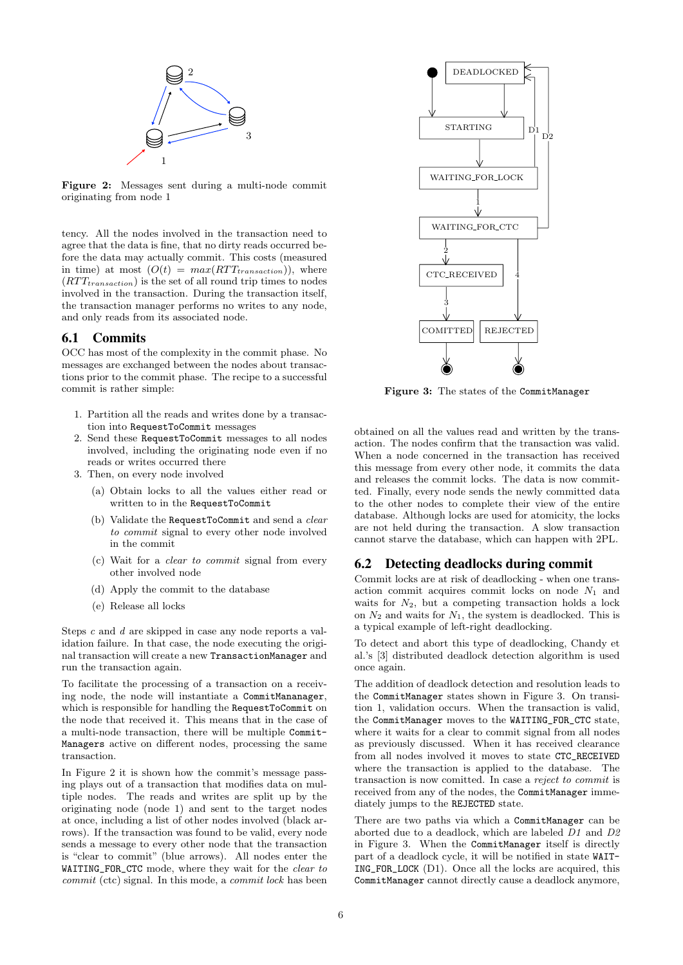

Figure 2: Messages sent during a multi-node commit originating from node 1

tency. All the nodes involved in the transaction need to agree that the data is fine, that no dirty reads occurred before the data may actually commit. This costs (measured in time) at most  $(O(t) = max(RTT_{transaction}))$ , where  $(RTT_{transaction})$  is the set of all round trip times to nodes involved in the transaction. During the transaction itself, the transaction manager performs no writes to any node, and only reads from its associated node.

### 6.1 Commits

OCC has most of the complexity in the commit phase. No messages are exchanged between the nodes about transactions prior to the commit phase. The recipe to a successful commit is rather simple:

- 1. Partition all the reads and writes done by a transaction into RequestToCommit messages
- 2. Send these RequestToCommit messages to all nodes involved, including the originating node even if no reads or writes occurred there
- 3. Then, on every node involved
	- (a) Obtain locks to all the values either read or written to in the RequestToCommit
	- (b) Validate the RequestToCommit and send a *clear* to commit signal to every other node involved in the commit
	- (c) Wait for a clear to commit signal from every other involved node
	- (d) Apply the commit to the database
	- (e) Release all locks

Steps c and d are skipped in case any node reports a validation failure. In that case, the node executing the original transaction will create a new TransactionManager and run the transaction again.

To facilitate the processing of a transaction on a receiving node, the node will instantiate a CommitMananager, which is responsible for handling the RequestToCommit on the node that received it. This means that in the case of a multi-node transaction, there will be multiple Commit-Managers active on different nodes, processing the same transaction.

In Figure 2 it is shown how the commit's message passing plays out of a transaction that modifies data on multiple nodes. The reads and writes are split up by the originating node (node 1) and sent to the target nodes at once, including a list of other nodes involved (black arrows). If the transaction was found to be valid, every node sends a message to every other node that the transaction is "clear to commit" (blue arrows). All nodes enter the WAITING\_FOR\_CTC mode, where they wait for the clear to commit (ctc) signal. In this mode, a commit lock has been



Figure 3: The states of the CommitManager

obtained on all the values read and written by the transaction. The nodes confirm that the transaction was valid. When a node concerned in the transaction has received this message from every other node, it commits the data and releases the commit locks. The data is now committed. Finally, every node sends the newly committed data to the other nodes to complete their view of the entire database. Although locks are used for atomicity, the locks are not held during the transaction. A slow transaction cannot starve the database, which can happen with 2PL.

### 6.2 Detecting deadlocks during commit

Commit locks are at risk of deadlocking - when one transaction commit acquires commit locks on node  $N_1$  and waits for  $N_2$ , but a competing transaction holds a lock on  $N_2$  and waits for  $N_1$ , the system is deadlocked. This is a typical example of left-right deadlocking.

To detect and abort this type of deadlocking, Chandy et al.'s [3] distributed deadlock detection algorithm is used once again.

The addition of deadlock detection and resolution leads to the CommitManager states shown in Figure 3. On transition 1, validation occurs. When the transaction is valid, the CommitManager moves to the WAITING\_FOR\_CTC state, where it waits for a clear to commit signal from all nodes as previously discussed. When it has received clearance from all nodes involved it moves to state CTC\_RECEIVED where the transaction is applied to the database. The transaction is now comitted. In case a reject to commit is received from any of the nodes, the CommitManager immediately jumps to the REJECTED state.

There are two paths via which a CommitManager can be aborted due to a deadlock, which are labeled D1 and D2 in Figure 3. When the CommitManager itself is directly part of a deadlock cycle, it will be notified in state WAIT-ING\_FOR\_LOCK (D1). Once all the locks are acquired, this CommitManager cannot directly cause a deadlock anymore,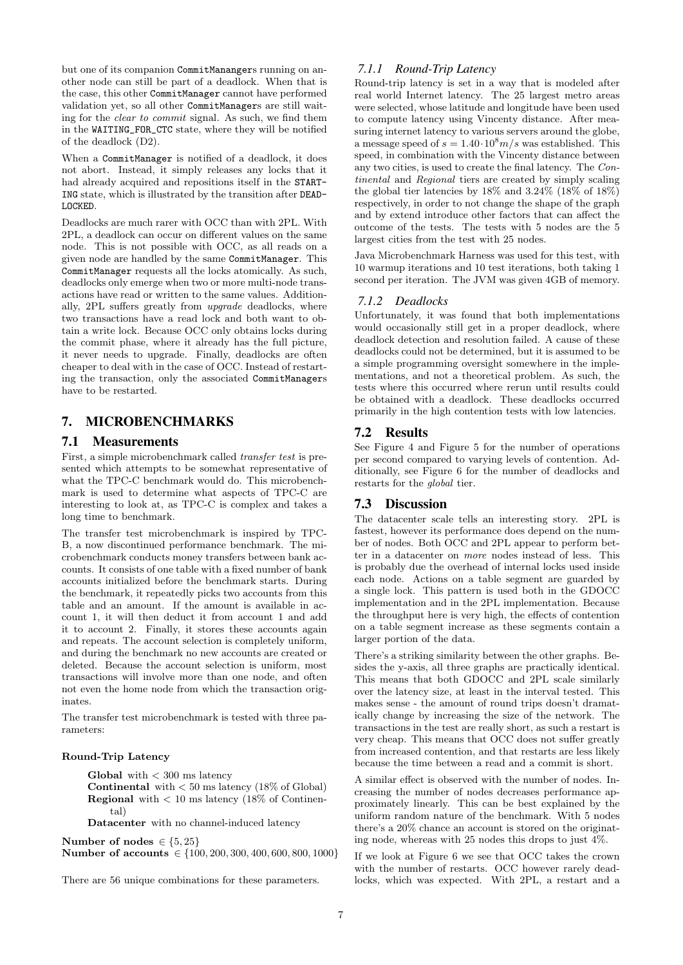but one of its companion CommitManangers running on another node can still be part of a deadlock. When that is the case, this other CommitManager cannot have performed validation yet, so all other CommitManagers are still waiting for the clear to commit signal. As such, we find them in the WAITING\_FOR\_CTC state, where they will be notified of the deadlock (D2).

When a CommitManager is notified of a deadlock, it does not abort. Instead, it simply releases any locks that it had already acquired and repositions itself in the START-ING state, which is illustrated by the transition after DEAD-LOCKED.

Deadlocks are much rarer with OCC than with 2PL. With 2PL, a deadlock can occur on different values on the same node. This is not possible with OCC, as all reads on a given node are handled by the same CommitManager. This CommitManager requests all the locks atomically. As such, deadlocks only emerge when two or more multi-node transactions have read or written to the same values. Additionally, 2PL suffers greatly from upgrade deadlocks, where two transactions have a read lock and both want to obtain a write lock. Because OCC only obtains locks during the commit phase, where it already has the full picture, it never needs to upgrade. Finally, deadlocks are often cheaper to deal with in the case of OCC. Instead of restarting the transaction, only the associated CommitManagers have to be restarted.

# 7. MICROBENCHMARKS

### 7.1 Measurements

First, a simple microbenchmark called transfer test is presented which attempts to be somewhat representative of what the TPC-C benchmark would do. This microbenchmark is used to determine what aspects of TPC-C are interesting to look at, as TPC-C is complex and takes a long time to benchmark.

The transfer test microbenchmark is inspired by TPC-B, a now discontinued performance benchmark. The microbenchmark conducts money transfers between bank accounts. It consists of one table with a fixed number of bank accounts initialized before the benchmark starts. During the benchmark, it repeatedly picks two accounts from this table and an amount. If the amount is available in account 1, it will then deduct it from account 1 and add it to account 2. Finally, it stores these accounts again and repeats. The account selection is completely uniform, and during the benchmark no new accounts are created or deleted. Because the account selection is uniform, most transactions will involve more than one node, and often not even the home node from which the transaction originates.

The transfer test microbenchmark is tested with three parameters:

#### Round-Trip Latency

Global with  $<$  300 ms latency

**Continental** with  $< 50$  ms latency (18\%) of Global) **Regional** with  $< 10$  ms latency (18% of Continental)

Datacenter with no channel-induced latency

Number of nodes  $\in \{5, 25\}$ 

Number of accounts ∈ {100, 200, 300, 400, 600, 800, 1000}

There are 56 unique combinations for these parameters.

### *7.1.1 Round-Trip Latency*

Round-trip latency is set in a way that is modeled after real world Internet latency. The 25 largest metro areas were selected, whose latitude and longitude have been used to compute latency using Vincenty distance. After measuring internet latency to various servers around the globe, a message speed of  $s = 1.40 \cdot 10^8 m/s$  was established. This speed, in combination with the Vincenty distance between any two cities, is used to create the final latency. The Continental and Regional tiers are created by simply scaling the global tier latencies by 18% and 3.24% (18% of 18%) respectively, in order to not change the shape of the graph and by extend introduce other factors that can affect the outcome of the tests. The tests with 5 nodes are the 5 largest cities from the test with 25 nodes.

Java Microbenchmark Harness was used for this test, with 10 warmup iterations and 10 test iterations, both taking 1 second per iteration. The JVM was given 4GB of memory.

### *7.1.2 Deadlocks*

Unfortunately, it was found that both implementations would occasionally still get in a proper deadlock, where deadlock detection and resolution failed. A cause of these deadlocks could not be determined, but it is assumed to be a simple programming oversight somewhere in the implementations, and not a theoretical problem. As such, the tests where this occurred where rerun until results could be obtained with a deadlock. These deadlocks occurred primarily in the high contention tests with low latencies.

### 7.2 Results

See Figure 4 and Figure 5 for the number of operations per second compared to varying levels of contention. Additionally, see Figure 6 for the number of deadlocks and restarts for the global tier.

### 7.3 Discussion

The datacenter scale tells an interesting story. 2PL is fastest, however its performance does depend on the number of nodes. Both OCC and 2PL appear to perform better in a datacenter on more nodes instead of less. This is probably due the overhead of internal locks used inside each node. Actions on a table segment are guarded by a single lock. This pattern is used both in the GDOCC implementation and in the 2PL implementation. Because the throughput here is very high, the effects of contention on a table segment increase as these segments contain a larger portion of the data.

There's a striking similarity between the other graphs. Besides the y-axis, all three graphs are practically identical. This means that both GDOCC and 2PL scale similarly over the latency size, at least in the interval tested. This makes sense - the amount of round trips doesn't dramatically change by increasing the size of the network. The transactions in the test are really short, as such a restart is very cheap. This means that OCC does not suffer greatly from increased contention, and that restarts are less likely because the time between a read and a commit is short.

A similar effect is observed with the number of nodes. Increasing the number of nodes decreases performance approximately linearly. This can be best explained by the uniform random nature of the benchmark. With 5 nodes there's a 20% chance an account is stored on the originating node, whereas with 25 nodes this drops to just  $4\%$ .

If we look at Figure 6 we see that OCC takes the crown with the number of restarts. OCC however rarely deadlocks, which was expected. With 2PL, a restart and a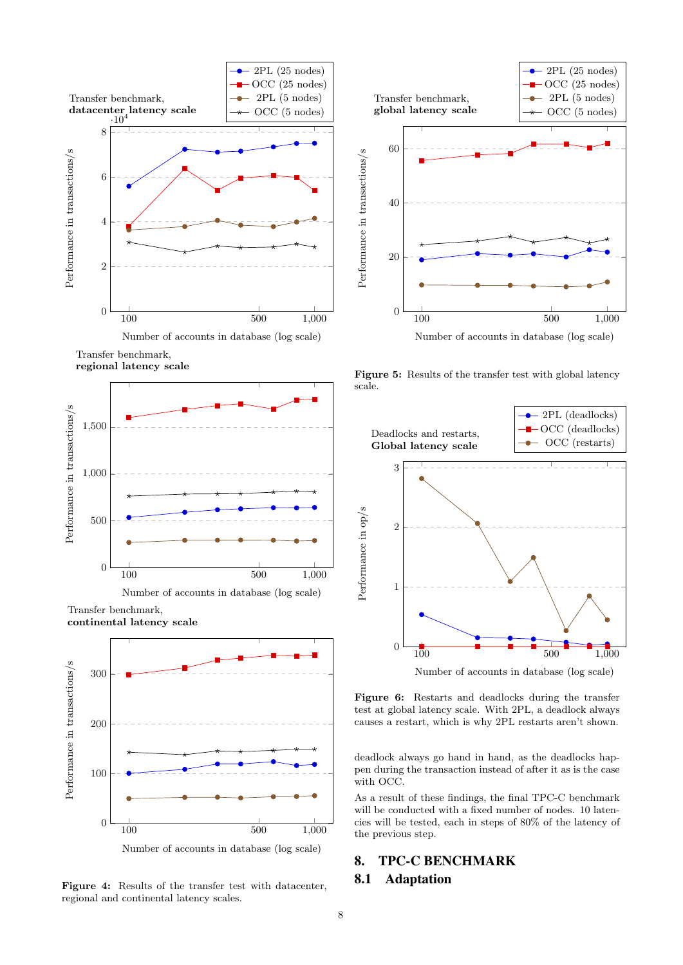

Transfer benchmark,

regional latency scale



Transfer benchmark, continental latency scale



Figure 4: Results of the transfer test with datacenter, regional and continental latency scales.



Figure 5: Results of the transfer test with global latency scale.



Figure 6: Restarts and deadlocks during the transfer test at global latency scale. With 2PL, a deadlock always causes a restart, which is why 2PL restarts aren't shown.

deadlock always go hand in hand, as the deadlocks happen during the transaction instead of after it as is the case with OCC.

As a result of these findings, the final TPC-C benchmark will be conducted with a fixed number of nodes. 10 latencies will be tested, each in steps of 80% of the latency of the previous step.

# 8. TPC-C BENCHMARK

### 8.1 Adaptation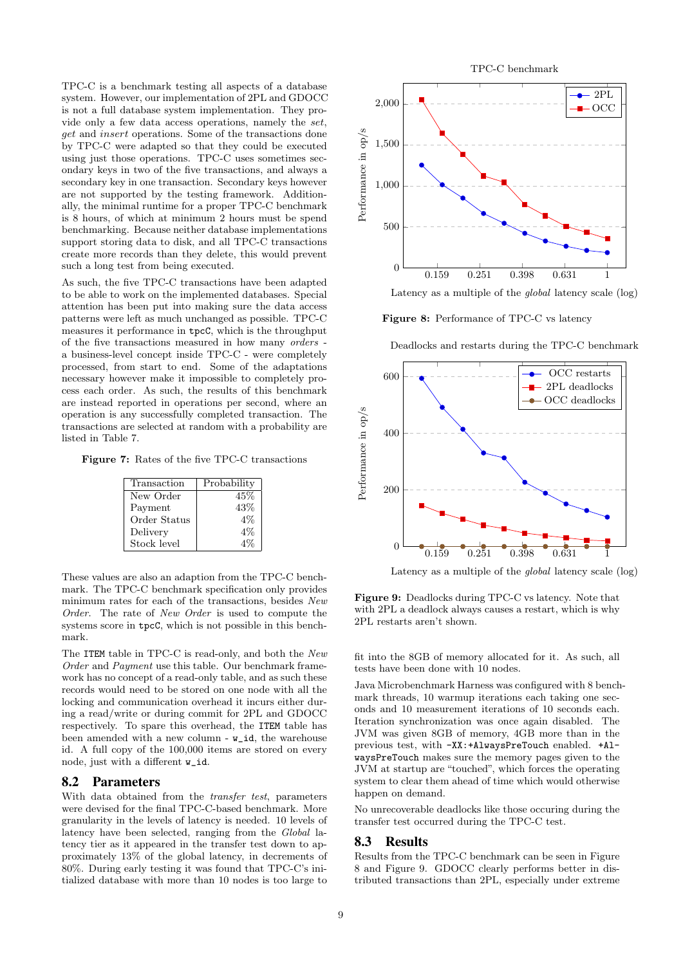TPC-C is a benchmark testing all aspects of a database system. However, our implementation of 2PL and GDOCC is not a full database system implementation. They provide only a few data access operations, namely the set, get and insert operations. Some of the transactions done by TPC-C were adapted so that they could be executed using just those operations. TPC-C uses sometimes secondary keys in two of the five transactions, and always a secondary key in one transaction. Secondary keys however are not supported by the testing framework. Additionally, the minimal runtime for a proper TPC-C benchmark is 8 hours, of which at minimum 2 hours must be spend benchmarking. Because neither database implementations support storing data to disk, and all TPC-C transactions create more records than they delete, this would prevent such a long test from being executed.

As such, the five TPC-C transactions have been adapted to be able to work on the implemented databases. Special attention has been put into making sure the data access patterns were left as much unchanged as possible. TPC-C measures it performance in tpcC, which is the throughput of the five transactions measured in how many orders a business-level concept inside TPC-C - were completely processed, from start to end. Some of the adaptations necessary however make it impossible to completely process each order. As such, the results of this benchmark are instead reported in operations per second, where an operation is any successfully completed transaction. The transactions are selected at random with a probability are listed in Table 7.

Figure 7: Rates of the five TPC-C transactions

| Transaction  | Probability |
|--------------|-------------|
| New Order    | 45%         |
| Payment      | 43%         |
| Order Status | $4\%$       |
| Delivery     | $4\%$       |
| Stock level  |             |

These values are also an adaption from the TPC-C benchmark. The TPC-C benchmark specification only provides minimum rates for each of the transactions, besides New Order. The rate of New Order is used to compute the systems score in tpcC, which is not possible in this benchmark.

The ITEM table in TPC-C is read-only, and both the New Order and Payment use this table. Our benchmark framework has no concept of a read-only table, and as such these records would need to be stored on one node with all the locking and communication overhead it incurs either during a read/write or during commit for 2PL and GDOCC respectively. To spare this overhead, the ITEM table has been amended with a new column -  $w_id$ , the warehouse id. A full copy of the 100,000 items are stored on every node, just with a different  $\bf{w}$  id.

### 8.2 Parameters

With data obtained from the transfer test, parameters were devised for the final TPC-C-based benchmark. More granularity in the levels of latency is needed. 10 levels of latency have been selected, ranging from the Global latency tier as it appeared in the transfer test down to approximately 13% of the global latency, in decrements of 80%. During early testing it was found that TPC-C's initialized database with more than 10 nodes is too large to



Latency as a multiple of the global latency scale (log)

Figure 8: Performance of TPC-C vs latency

Deadlocks and restarts during the TPC-C benchmark



Latency as a multiple of the global latency scale (log)

Figure 9: Deadlocks during TPC-C vs latency. Note that with 2PL a deadlock always causes a restart, which is why 2PL restarts aren't shown.

fit into the 8GB of memory allocated for it. As such, all tests have been done with 10 nodes.

Java Microbenchmark Harness was configured with 8 benchmark threads, 10 warmup iterations each taking one seconds and 10 measurement iterations of 10 seconds each. Iteration synchronization was once again disabled. The JVM was given 8GB of memory, 4GB more than in the previous test, with -XX:+AlwaysPreTouch enabled. +AlwaysPreTouch makes sure the memory pages given to the JVM at startup are "touched", which forces the operating system to clear them ahead of time which would otherwise happen on demand.

No unrecoverable deadlocks like those occuring during the transfer test occurred during the TPC-C test.

#### 8.3 Results

Results from the TPC-C benchmark can be seen in Figure 8 and Figure 9. GDOCC clearly performs better in distributed transactions than 2PL, especially under extreme